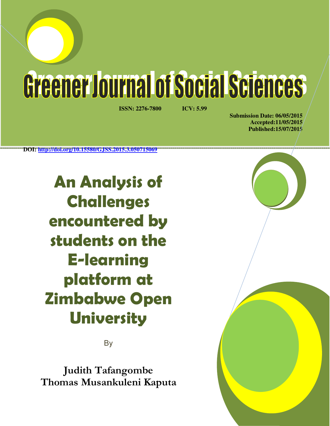Greener Journal of Social Sciences

**ISSN: 2276-7800 ICV: 5.99** 

**Submission Date: 06/05/2015 Accepted:11/05/2015 Published:15/07/2015** 

**DOI: http://doi.org/10.15580/GJSS.2015.3.050715069**

**An Analysis of Challenges encountered by students on the E-learning platform at Zimbabwe Open University**

**B** 

**Judith Tafangombe Thomas Musankuleni Kaputa**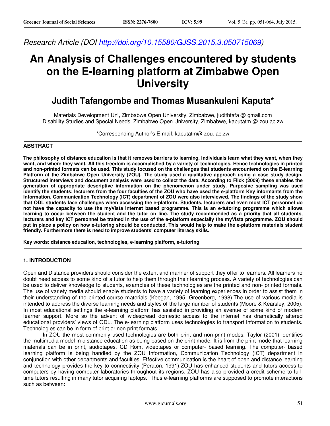*Research Article (DOI http://doi.org/10.15580/GJSS.2015.3.050715069)* 

# **An Analysis of Challenges encountered by students on the E-learning platform at Zimbabwe Open University**

# **Judith Tafangombe and Thomas Musankuleni Kaputa\***

Materials Development Uni, Zimbabwe Open University, Zimbabwe, judithtafa @ gmail.com Disability Studies and Special Needs, Zimbabwe Open University, Zimbabwe, kaputatm @ zou.ac.zw

\*Corresponding Author's E-mail: kaputatm@ zou. ac.zw

# **ABSTRACT**

**The philosophy of distance education is that it removes barriers to learning. Individuals learn what they want, when they want, and where they want. All this freedom is accomplished by a variety of technologies. Hence technologies in printed and non-printed formats can be used. This study focused on the challenges that students encountered on the E-learning Platform at the Zimbabwe Open University (ZOU). The study used a qualitative approach using a case study design. Structured interviews and document analysis were used to collect the data. According to Flick (2009) these enables the generation of appropriate descriptive information on the phenomenon under study. Purposive sampling was used identify the students; lecturers from the four faculties of the ZOU who have used the e-platform Key informants from the Information, Communication Technology (ICT) department of ZOU were also interviewed. The findings of the study show that ODL students face challenges when accessing the e-platform. Students, lecturers and even most ICT personnel do not have the capacity to use the myVista internet based programme. This is an e-tutoring programme which allows learning to occur between the student and the tutor on line. The study recommended as a priority that all students, lecturers and key ICT personnel be trained in the use of the e-platform especially the myVista programme. ZOU should put in place a policy on how e-tutoring should be conducted. This would help to make the e-platform materials student friendly. Furthermore there is need to improve students' computer literacy skills.** 

**Key words: distance education, technologies, e-learning platform, e-tutoring***.* 

#### **1. INTRODUCTION**

Open and Distance providers should consider the extent and manner of support they offer to learners. All learners no doubt need access to some kind of a tutor to help them through their learning process. A variety of technologies can be used to deliver knowledge to students, examples of these technologies are the printed and non- printed formats. The use of variety media should enable students to have a variety of learning experiences in order to assist them in their understanding of the printed course materials (Keegan, 1995; Greenberg, 1998).The use of various media is intended to address the diverse learning needs and styles of the large number of students (Moore & Kearsley, 2005). In most educational settings the e-learning platform has assisted in providing an avenue of some kind of modern learner support. More so the advent of widespread domestic access to the internet has dramatically altered educational providers' views of ODL. The e-learning platform uses technologies to transport information to students. Technologies can be in form of print or non print formats.

In ZOU the most commonly used technologies are both print and non-print modes. Taylor (2001) identifies the multimedia model in distance education as being based on the print mode. It is from the print mode that learning materials can be in print, audiotapes, CD Rom, videotapes or computer- based learning. The computer- based learning platform is being handled by the ZOU Information, Communication Technology (ICT) department in conjunction with other departments and faculties. Effective communication is the heart of open and distance learning and technology provides the key to connectivity (Peraton, 1991).ZOU has enhanced students and tutors access to computers by having computer laboratories throughout its regions. ZOU has also provided a credit scheme to fulltime tutors resulting in many tutor acquiring laptops. Thus e-learning platforms are supposed to promote interactions such as between: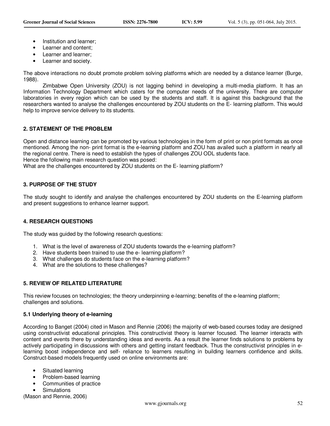- Institution and learner:
- Learner and content;
- Learner and learner;
- Learner and society.

The above interactions no doubt promote problem solving platforms which are needed by a distance learner (Burge, 1988).

Zimbabwe Open University (ZOU) is not lagging behind in developing a multi-media platform. It has an Information Technology Department which caters for the computer needs of the university. There are computer laboratories in every region which can be used by the students and staff. It is against this background that the researchers wanted to analyse the challenges encountered by ZOU students on the E- learning platform. This would help to improve service delivery to its students.

# **2. STATEMENT OF THE PROBLEM**

Open and distance learning can be promoted by various technologies in the form of print or non print formats as once mentioned. Among the non- print format is the e-learning platform and ZOU has availed such a platform in nearly all the regional centre. There is need to establish the types of challenges ZOU ODL students face. Hence the following main research question was posed: What are the challenges encountered by ZOU students on the E- learning platform?

# **3. PURPOSE OF THE STUDY**

The study sought to identify and analyse the challenges encountered by ZOU students on the E-learning platform and present suggestions to enhance learner support.

# **4. RESEARCH QUESTIONS**

The study was guided by the following research questions:

- 1. What is the level of awareness of ZOU students towards the e-learning platform?
- 2. Have students been trained to use the e- learning platform?
- 3. What challenges do students face on the e-learning platform?
- 4. What are the solutions to these challenges?

# **5. REVIEW OF RELATED LITERATURE**

This review focuses on technologies; the theory underpinning e-learning; benefits of the e-learning platform; challenges and solutions.

# **5.1 Underlying theory of e-learning**

According to Banget (2004) cited in Mason and Rennie (2006) the majority of web-based courses today are designed using constructivist educational principles. This constructivist theory is learner focused. The learner interacts with content and events there by understanding ideas and events. As a result the learner finds solutions to problems by actively participating in discussions with others and getting instant feedback. Thus the constructivist principles in elearning boost independence and self- reliance to learners resulting in building learners confidence and skills. Construct-based models frequently used on online environments are:

- Situated learning
- Problem-based learning
- Communities of practice
- **Simulations**

(Mason and Rennie, 2006)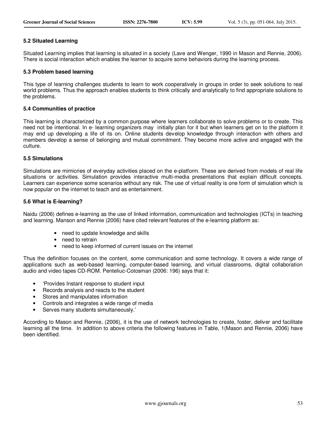#### **5.2 Situated Learning**

Situated Learning implies that learning is situated in a society (Lave and Wenger, 1990 in Mason and Rennie, 2006). There is social interaction which enables the learner to acquire some behaviors during the learning process.

#### **5.3 Problem based learning**

This type of learning challenges students to learn to work cooperatively in groups in order to seek solutions to real world problems. Thus the approach enables students to think critically and analytically to find appropriate solutions to the problems.

#### **5.4 Communities of practice**

This learning is characterized by a common purpose where learners collaborate to solve problems or to create. This need not be intentional. In e- learning organizers may initially plan for it but when learners get on to the platform it may end up developing a life of its on. Online students develop knowledge through interaction with others and members develop a sense of belonging and mutual commitment. They become more active and engaged with the culture.

#### **5.5 Simulations**

Simulations are mimicries of everyday activities placed on the e-platform. These are derived from models of real life situations or activities. Simulation provides interactive multi-media presentations that explain difficult concepts. Learners can experience some scenarios without any risk. The use of virtual reality is one form of simulation which is now popular on the internet to teach and as entertainment.

#### **5.6 What is E-learning?**

Naidu (2006) defines e-learning as the use of linked information, communication and technologies (ICTs) in teaching and learning. Manson and Rennie (2006) have cited relevant features of the e-learning platform as:

- need to update knowledge and skills
- need to retrain
- need to keep informed of current issues on the internet

Thus the definition focuses on the content, some communication and some technology. It covers a wide range of applications such as web-based learning, computer-based learning, and virtual classrooms, digital collaboration audio and video tapes CD-ROM. Penteliuc-Cotosman (2006: 196) says that it:

- 'Provides Instant response to student input
- Records analysis and reacts to the student
- Stores and manipulates information
- Controls and integrates a wide range of media
- Serves many students simultaneously.'

According to Mason and Rennie, (2006), it is the use of network technologies to create, foster, deliver and facilitate learning all the time. In addition to above criteria the following features in Table, 1(Mason and Rennie, 2006) have been identified.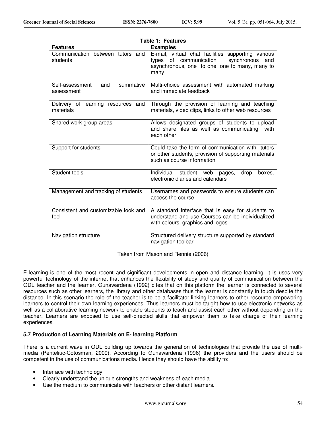|                                                   | Table 1: Features                                                                                                                                            |
|---------------------------------------------------|--------------------------------------------------------------------------------------------------------------------------------------------------------------|
| <b>Features</b>                                   | <b>Examples</b>                                                                                                                                              |
| Communication between tutors and<br>students      | E-mail, virtual chat facilities supporting various<br>types of communication<br>synchronous<br>and<br>asynchronous, one to one, one to many, many to<br>many |
| summative<br>Self-assessment<br>and<br>assessment | Multi-choice assessment with automated marking<br>and immediate feedback                                                                                     |
| Delivery of learning resources and<br>materials   | Through the provision of learning and teaching<br>materials, video clips, links to other web resources                                                       |
| Shared work group areas                           | Allows designated groups of students to upload<br>and share files as well as communicating<br>with<br>each other                                             |
| Support for students                              | Could take the form of communication with tutors<br>or other students, provision of supporting materials<br>such as course information                       |
| Student tools                                     | Individual student web pages,<br>drop<br>boxes.<br>electronic diaries and calendars                                                                          |
| Management and tracking of students               | Usernames and passwords to ensure students can<br>access the course                                                                                          |
| Consistent and customizable look and<br>feel      | A standard interface that is easy for students to<br>understand and use Courses can be individualized<br>with colours, graphics and logos                    |
| Navigation structure                              | Structured delivery structure supported by standard<br>navigation toolbar                                                                                    |

Taken from Mason and Rennie (2006)

E-learning is one of the most recent and significant developments in open and distance learning. It is uses very powerful technology of the internet that enhances the flexibility of study and quality of communication between the ODL teacher and the learner. Gunawardena (1992) cites that on this platform the learner is connected to several resources such as other learners, the library and other databases thus the learner is constantly in touch despite the distance. In this scenario the role of the teacher is to be a facilitator linking learners to other resource empowering learners to control their own learning experiences. Thus learners must be taught how to use electronic networks as well as a collaborative learning network to enable students to teach and assist each other without depending on the teacher. Learners are exposed to use self-directed skills that empower them to take charge of their learning experiences.

# **5.7 Production of Learning Materials on E- learning Platform**

There is a current wave in ODL building up towards the generation of technologies that provide the use of multimedia (Penteliuc-Cotosman, 2009). According to Gunawardena (1996) the providers and the users should be competent in the use of communications media. Hence they should have the ability to:

- Interface with technology
- Clearly understand the unique strengths and weakness of each media
- Use the medium to communicate with teachers or other distant learners.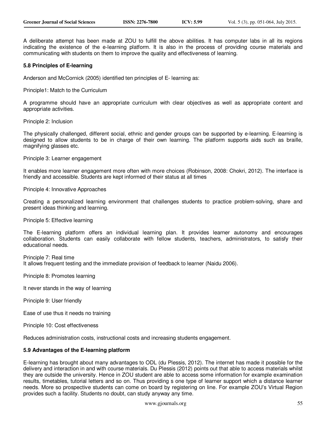A deliberate attempt has been made at ZOU to fulfill the above abilities. It has computer labs in all its regions indicating the existence of the e-learning platform. It is also in the process of providing course materials and communicating with students on them to improve the quality and effectiveness of learning.

#### **5.8 Principles of E-learning**

Anderson and McCornick (2005) identified ten principles of E- learning as:

Principle1: Match to the Curriculum

A programme should have an appropriate curriculum with clear objectives as well as appropriate content and appropriate activities.

Principle 2: Inclusion

The physically challenged, different social, ethnic and gender groups can be supported by e-learning. E-learning is designed to allow students to be in charge of their own learning. The platform supports aids such as braille, magnifying glasses etc.

Principle 3: Learner engagement

It enables more learner engagement more often with more choices (Robinson, 2008: Chokri, 2012). The interface is friendly and accessible. Students are kept informed of their status at all times

Principle 4: Innovative Approaches

Creating a personalized learning environment that challenges students to practice problem-solving, share and present ideas thinking and learning.

Principle 5: Effective learning

The E-learning platform offers an individual learning plan. It provides learner autonomy and encourages collaboration. Students can easily collaborate with fellow students, teachers, administrators, to satisfy their educational needs.

Principle 7: Real time It allows frequent testing and the immediate provision of feedback to learner (Naidu 2006).

Principle 8: Promotes learning

It never stands in the way of learning

Principle 9: User friendly

Ease of use thus it needs no training

Principle 10: Cost effectiveness

Reduces administration costs, instructional costs and increasing students engagement.

#### **5.9 Advantages of the E-learning platform**

E-learning has brought about many advantages to ODL (du Plessis, 2012). The internet has made it possible for the delivery and interaction in and with course materials. Du Plessis (2012) points out that able to access materials whilst they are outside the university. Hence in ZOU student are able to access some information for example examination results, timetables, tutorial letters and so on. Thus providing s one type of learner support which a distance learner needs. More so prospective students can come on board by registering on line. For example ZOU's Virtual Region provides such a facility. Students no doubt, can study anyway any time.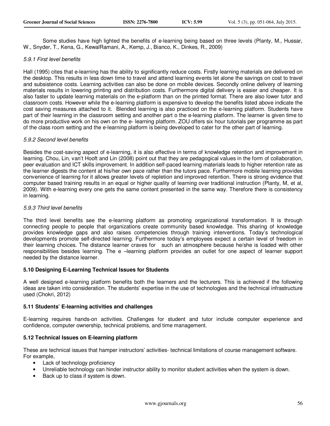Some studies have high lighted the benefits of e-learning being based on three levels (Planty, M., Hussar, W., Snyder, T., Kena, G., KewalRamani, A., Kemp, J., Bianco, K., Dinkes, R., 2009)

# *5.9.1 First level benefits*

Hall (1995) cites that e-learning has the ability to significantly reduce costs. Firstly learning materials are delivered on the desktop. This results in less down time to travel and attend learning events let alone the savings on cost to travel and subsistence costs. Learning activities can also be done on mobile devices. Secondly online delivery of learning materials results in lowering printing and distribution costs. Furthermore digital delivery is easier and cheaper. It is also faster to update learning materials on the e-platform than on the printed format. There are also lower tutor and classroom costs. However while the e-learning platform is expensive to develop the benefits listed above indicate the cost saving measures attached to it. Blended learning is also practiced on the e-learning platform. Students have part of their learning in the classroom setting and another part o the e-learning platform. The learner is given time to do more productive work on his own on the e- learning platform. ZOU offers six hour tutorials per programme as part of the class room setting and the e-learning platform is being developed to cater for the other part of learning.

#### *5.9.2 Second level benefits*

Besides the cost-saving aspect of e-learning, it is also effective in terms of knowledge retention and improvement in learning. Chou, Lin, van't Hooft and Lin (2008) point out that they are pedagogical values in the form of collaboration, peer evaluation and ICT skills improvement. In addition self-paced learning materials leads to higher retention rate as the learner digests the content at his/her own pace rather than the tutors pace. Furthermore mobile learning provides convenience of learning for it allows greater levels of repletion and improved retention. There is strong evidence that computer based training results in an equal or higher quality of learning over traditional instruction (Planty, M, et al, 2009). With e-learning every one gets the same content presented in the same way. Therefore there is consistency in learning.

#### *5.9.3 Third level benefits*

The third level benefits see the e-learning platform as promoting organizational transformation. It is through connecting people to people that organizations create community based knowledge. This sharing of knowledge provides knowledge gaps and also raises competencies through training interventions. Today's technological developments promote self-directed learning. Furthermore today's employees expect a certain level of freedom in their learning choices. The distance learner craves for such an atmosphere because he/she is loaded with other responsibilities besides learning. The e –learning platform provides an outlet for one aspect of learner support needed by the distance learner.

#### **5.10 Designing E-Learning Technical Issues for Students**

A well designed e-learning platform benefits both the learners and the lecturers. This is achieved if the following ideas are taken into consideration. The students' expertise in the use of technologies and the technical infrastructure used (Chokri, 2012)

# **5.11 Students' E-learning activities and challenges**

E-learning requires hands-on activities. Challenges for student and tutor include computer experience and confidence, computer ownership, technical problems, and time management.

# **5.12 Technical Issues on E-learning platform**

These are technical issues that hamper instructors' activities- technical limitations of course management software. For example,

- Lack of technology proficiency
- Unreliable technology can hinder instructor ability to monitor student activities when the system is down.
- Back up to class if system is down.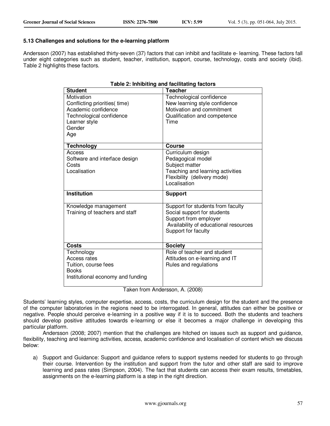#### **5.13 Challenges and solutions for the e-learning platform**

Andersson (2007) has established thirty-seven (37) factors that can inhibit and facilitate e- learning. These factors fall under eight categories such as student, teacher, institution, support, course, technology, costs and society (ibid). Table 2 highlights these factors.

#### **Table 2: Inhibiting and facilitating factors**

| <b>Student</b>                                                                                                                   | <b>Teacher</b>                                                                                                                                            |
|----------------------------------------------------------------------------------------------------------------------------------|-----------------------------------------------------------------------------------------------------------------------------------------------------------|
| Motivation<br>Conflicting priorities( time)<br>Academic confidence<br>Technological confidence<br>Learner style<br>Gender<br>Age | Technological confidence<br>New learning style confidence<br>Motivation and commitment<br>Qualification and competence<br>Time                            |
| <b>Technology</b>                                                                                                                | Course                                                                                                                                                    |
| Access<br>Software and interface design<br>Costs<br>Localisation                                                                 | Curriculum design<br>Pedagogical model<br>Subject matter<br>Teaching and learning activities<br>Flexibility (delivery mode)<br>Localisation               |
| <b>Institution</b>                                                                                                               | <b>Support</b>                                                                                                                                            |
| Knowledge management<br>Training of teachers and staff                                                                           | Support for students from faculty<br>Social support for students<br>Support from employer<br>Availability of educational resources<br>Support for faculty |
| Costs                                                                                                                            | <b>Society</b>                                                                                                                                            |
| Technology<br>Access rates<br>Tuition, course fees<br><b>Books</b><br>Institutional economy and funding                          | Role of teacher and student<br>Attitudes on e-learning and IT<br>Rules and regulations                                                                    |

Taken from Andersson, A. (2008)

Students' learning styles, computer expertise, access, costs, the curriculum design for the student and the presence of the computer laboratories in the regions need to be interrogated. In general, attitudes can either be positive or negative. People should perceive e-learning in a positive way if it is to succeed. Both the students and teachers should develop positive attitudes towards e-learning or else it becomes a major challenge in developing this particular platform.

Andersson (2008; 2007) mention that the challenges are hitched on issues such as support and guidance, flexibility, teaching and learning activities, access, academic confidence and localisation of content which we discuss below:

a) Support and Guidance: Support and guidance refers to support systems needed for students to go through their course. Intervention by the institution and support from the tutor and other staff are said to improve learning and pass rates (Simpson, 2004). The fact that students can access their exam results, timetables, assignments on the e-learning platform is a step in the right direction.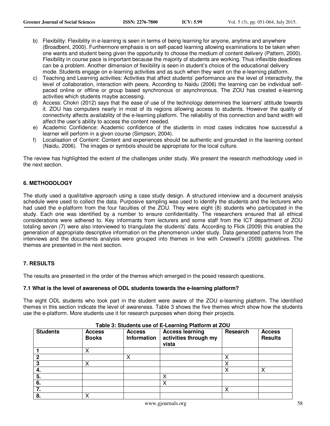- b) Flexibility: Flexibility in e-learning is seen in terms of being learning for anyone, anytime and anywhere (Broadbent, 2000). Furthermore emphasis is on self-paced learning allowing examinations to be taken when one wants and student being given the opportunity to choose the medium of content delivery (Pattern, 2000). Flexibility in course pace is important because the majority of students are working. Thus inflexible deadlines can be a problem. Another dimension of flexibility is seen in student's choice of the educational delivery mode. Students engage on e-learning activities and as such when they want on the e-learning platform.
- c) Teaching and Learning activities: Activities that affect students' performance are the level of interactivity, the level of collaboration, interaction with peers. According to Naidu (2006) the learning can be individual selfpaced online or offline or group based synchronous or asynchronous. The ZOU has created e-learning activities which students maybe accessing.
- d) Access: Chokri (2012) says that the ease of use of the technology determines the learners' attitude towards it. ZOU has computers nearly in most of its regions allowing access to students. However the quality of connectivity affects availability of the e-learning platform. The reliability of this connection and band width will affect the user's ability to access the content needed.
- e) Academic Confidence: Academic confidence of the students in most cases indicates how successful a learner will perform in a given course (Simpson, 2004).
- f) Localisation of Content: Content and experiences should be authentic and grounded in the learning context (Naidu, 2006). The images or symbols should be appropriate for the local culture.

The review has highlighted the extent of the challenges under study. We present the research methodology used in the next section.

# **6. METHODOLOGY**

The study used a qualitative approach using a case study design. A structured interview and a document analysis schedule were used to collect the data. Purposive sampling was used to identify the students and the lecturers who had used the e-platform from the four faculties of the ZOU. They were eight (8) students who participated in the study. Each one was identified by a number to ensure confidentiality. The researchers ensured that all ethical considerations were adhered to. Key informants from lecturers and some staff from the ICT department of ZOU totaling seven (7) were also interviewed to triangulate the students' data. According to Flick (2009) this enables the generation of appropriate descriptive information on the phenomenon under study. Data generated patterns from the interviews and the documents analysis were grouped into themes in line with Creswell's (2009) guidelines. The themes are presented in the next section.

# **7. RESULTS**

The results are presented in the order of the themes which emerged in the posed research questions.

# **7.1 What is the level of awareness of ODL students towards the e-learning platform?**

The eight ODL students who took part in the student were aware of the ZOU e-learning platform. The identified themes in this section indicate the level of awareness. Table 3 shows the five themes which show how the students use the e-platform. More students use it for research purposes when doing their projects.

| <b>Students</b> | <b>Access</b><br><b>Books</b> | <b>Access</b><br><b>Information</b> | <b>Access learning</b><br>activities through my<br>vista | Research         | <b>Access</b><br><b>Results</b> |
|-----------------|-------------------------------|-------------------------------------|----------------------------------------------------------|------------------|---------------------------------|
|                 | ↗                             |                                     |                                                          |                  |                                 |
| כי              |                               |                                     |                                                          | v                |                                 |
| o               |                               |                                     |                                                          | v                |                                 |
| -4.             |                               |                                     |                                                          | $\check{ }$<br>↗ | х                               |
| 5.              |                               |                                     |                                                          |                  |                                 |
| 6.              |                               |                                     |                                                          |                  |                                 |
| 7.              |                               |                                     |                                                          | $\check{ }$<br>⌒ |                                 |
| 8.              |                               |                                     |                                                          |                  |                                 |

**Table 3: Students use of E-Learning Platform at ZOU**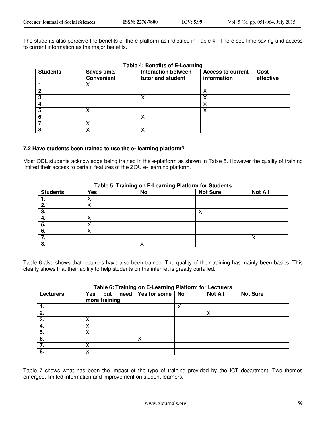The students also perceive the benefits of the e-platform as indicated in Table 4. There see time saving and access to current information as the major benefits.

| Table 4: Benefits of E-Learning |                                  |                                                 |                                  |                   |  |
|---------------------------------|----------------------------------|-------------------------------------------------|----------------------------------|-------------------|--|
| <b>Students</b>                 | Saves time/<br><b>Convenient</b> | <b>Interaction between</b><br>tutor and student | Access to current<br>information | Cost<br>effective |  |
|                                 |                                  |                                                 |                                  |                   |  |
| 2.                              |                                  |                                                 |                                  |                   |  |
| 3.                              |                                  |                                                 |                                  |                   |  |
|                                 |                                  |                                                 |                                  |                   |  |
| 5.                              |                                  |                                                 |                                  |                   |  |
| 6.                              |                                  | x                                               |                                  |                   |  |
|                                 |                                  |                                                 |                                  |                   |  |
| 8.                              |                                  |                                                 |                                  |                   |  |

#### **7.2 Have students been trained to use the e- learning platform?**

Most ODL students acknowledge being trained in the e-platform as shown in Table 5. However the quality of training limited their access to certain features of the ZOU e- learning platform.

| <b>Students</b> | <b>Yes</b> | <b>No</b> | <b>Not Sure</b> | <b>Not All</b> |
|-----------------|------------|-----------|-----------------|----------------|
|                 |            |           |                 |                |
| 2.              |            |           |                 |                |
| 3.              |            |           |                 |                |
| 4.              |            |           |                 |                |
| 5.              |            |           |                 |                |
| 6.              |            |           |                 |                |
|                 |            |           |                 | ↗              |
| 8.              |            |           |                 |                |

#### **Table 5: Training on E-Learning Platform for Students**

Table 6 also shows that lecturers have also been trained. The quality of their training has mainly been basics. This clearly shows that their ability to help students on the internet is greatly curtailed.

| <b>Lecturers</b> | Yes<br>but<br>more training | need   Yes for some   No | <b>Not All</b> | <b>Not Sure</b> |
|------------------|-----------------------------|--------------------------|----------------|-----------------|
|                  |                             |                          |                |                 |
| 2.               |                             |                          |                |                 |
| 3.               |                             |                          |                |                 |
| -4.              |                             |                          |                |                 |
| -5.              |                             |                          |                |                 |
| -6.              |                             |                          |                |                 |
|                  |                             |                          |                |                 |
| 8.               |                             |                          |                |                 |

# **Table 6: Training on E-Learning Platform for Lecturers**

Table 7 shows what has been the impact of the type of training provided by the ICT department. Two themes emerged; limited information and improvement on student learners.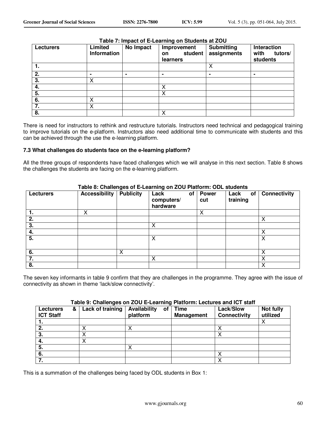| <b>Lecturers</b> | Limited<br><b>Information</b> | No Impact | Improvement<br>student<br><b>on</b><br>learners | <b>Submitting</b><br>assignments | Interaction<br>with<br>tutors/<br>students |
|------------------|-------------------------------|-----------|-------------------------------------------------|----------------------------------|--------------------------------------------|
|                  |                               |           |                                                 | Χ                                |                                            |
| 2.               |                               |           |                                                 |                                  | ۰                                          |
| 3.               | X                             |           |                                                 |                                  |                                            |
| 4.               |                               |           | х                                               |                                  |                                            |
| 5.               |                               |           | Χ                                               |                                  |                                            |
| 6.               | Χ                             |           |                                                 |                                  |                                            |
| 7.               |                               |           |                                                 |                                  |                                            |
| 8.               |                               |           | X                                               |                                  |                                            |

# **Table 7: Impact of E-Learning on Students at ZOU**

There is need for instructors to rethink and restructure tutorials. Instructors need technical and pedagogical training to improve tutorials on the e-platform. Instructors also need additional time to communicate with students and this can be achieved through the use the e-learning platform.

#### **7.3 What challenges do students face on the e-learning platform?**

All the three groups of respondents have faced challenges which we will analyse in this next section. Table 8 shows the challenges the students are facing on the e-learning platform.

|                  | able 8: Challenges of E-Learning on ZOU Platform: ODL students |                  |                                      |                     |                        |                     |
|------------------|----------------------------------------------------------------|------------------|--------------------------------------|---------------------|------------------------|---------------------|
| <b>Lecturers</b> | Accessibility                                                  | <b>Publicity</b> | Lack<br>οf<br>computers/<br>hardware | <b>Power</b><br>cut | Lack<br>of<br>training | <b>Connectivity</b> |
| 1.               | х                                                              |                  |                                      | X                   |                        |                     |
| 2.               |                                                                |                  |                                      |                     |                        | Χ                   |
| 3.               |                                                                |                  | Χ                                    |                     |                        |                     |
| 4.               |                                                                |                  |                                      |                     |                        | X                   |
| 5.               |                                                                |                  | х                                    |                     |                        | Χ                   |
| 6.               |                                                                | Χ                |                                      |                     |                        | X                   |
| 7.               |                                                                |                  |                                      |                     |                        | Χ                   |
| 8.               |                                                                |                  |                                      |                     |                        |                     |

#### **Table 8: Challenges of E-Learning on ZOU Platform: ODL students**

The seven key informants in table 9 confirm that they are challenges in the programme. They agree with the issue of connectivity as shown in theme 'lack/slow connectivity'.

#### **Table 9: Challenges on ZOU E-Learning Platform: Lectures and ICT staff**

| <b>Lecturers</b><br><b>ICT Staff</b> | & | Lack of training | Availability<br>of<br>platform | Time<br><b>Management</b> | Lack/Slow<br><b>Connectivity</b> | Not fully<br>utilized |
|--------------------------------------|---|------------------|--------------------------------|---------------------------|----------------------------------|-----------------------|
|                                      |   |                  |                                |                           |                                  |                       |
|                                      |   |                  |                                |                           |                                  |                       |
| З.                                   |   |                  |                                |                           |                                  |                       |
| -4.                                  |   |                  |                                |                           |                                  |                       |
| 5.                                   |   |                  | ↗                              |                           |                                  |                       |
| -6.                                  |   |                  |                                |                           |                                  |                       |
|                                      |   |                  |                                |                           |                                  |                       |

This is a summation of the challenges being faced by ODL students in Box 1: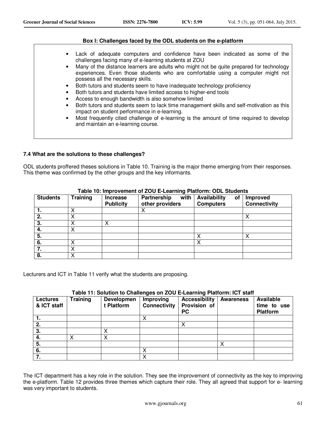#### **Box I: Challenges faced by the ODL students on the e-platform**

- Lack of adequate computers and confidence have been indicated as some of the challenges facing many of e-learning students at ZOU
- Many of the distance learners are adults who might not be quite prepared for technology experiences. Even those students who are comfortable using a computer might not possess all the necessary skills.
- Both tutors and students seem to have inadequate technology proficiency
- Both tutors and students have limited access to higher-end tools
- Access to enough bandwidth is also somehow limited
- Both tutors and students seem to lack time management skills and self-motivation as this impact on student performance in e-learning.
- Most frequently cited challenge of e-learning is the amount of time required to develop and maintain an e-learning course.

#### **7.4 What are the solutions to these challenges?**

ODL students proffered theses solutions in Table 10. Training is the major theme emerging from their responses. This theme was confirmed by the other groups and the key informants.

| <b>Students</b> | <b>Training</b> | <b>Increase</b><br><b>Publicity</b> | Partnership<br>with<br>other providers | Availability<br>οf<br><b>Computers</b> | Improved<br><b>Connectivity</b> |
|-----------------|-----------------|-------------------------------------|----------------------------------------|----------------------------------------|---------------------------------|
|                 |                 |                                     |                                        |                                        |                                 |
|                 |                 |                                     |                                        |                                        |                                 |
|                 |                 |                                     |                                        |                                        |                                 |
| 4.              |                 |                                     |                                        |                                        |                                 |
| -5.             |                 |                                     |                                        |                                        |                                 |
| 6.              |                 |                                     |                                        |                                        |                                 |
|                 |                 |                                     |                                        |                                        |                                 |
| 8.              |                 |                                     |                                        |                                        |                                 |

#### **Table 10: Improvement of ZOU E-Learning Platform: ODL Students**

Lecturers and ICT in Table 11 verify what the students are proposing.

#### **Table 11: Solution to Challenges on ZOU E-Learning Platform: ICT staff**

| <b>Lectures</b><br>& ICT staff | <b>Training</b> | <b>Developmen</b><br>Platform | Improving<br><b>Connectivity</b> | <b>Accessibility</b><br>Provision of<br>PC | <b>Awareness</b> | <b>Available</b><br>time to use<br>Platform |
|--------------------------------|-----------------|-------------------------------|----------------------------------|--------------------------------------------|------------------|---------------------------------------------|
| . .                            |                 |                               |                                  |                                            |                  |                                             |
| 2.                             |                 |                               |                                  |                                            |                  |                                             |
| 3.                             |                 |                               |                                  |                                            |                  |                                             |
| 4.                             | ◠               | ∧                             |                                  |                                            |                  |                                             |
| 5.                             |                 |                               |                                  |                                            | ↗                |                                             |
| 6.                             |                 |                               |                                  |                                            |                  |                                             |
|                                |                 |                               |                                  |                                            |                  |                                             |

The ICT department has a key role in the solution. They see the improvement of connectivity as the key to improving the e-platform. Table 12 provides three themes which capture their role. They all agreed that support for e- learning was very important to students.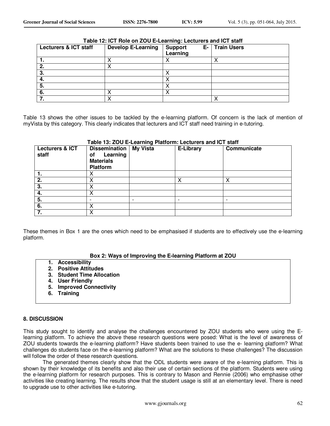| Table 12: ICT Role on ZOU E-Learning: Lecturers and ICT staff |                           |                |                       |  |  |  |  |
|---------------------------------------------------------------|---------------------------|----------------|-----------------------|--|--|--|--|
| <b>Lecturers &amp; ICT staff</b>                              | <b>Develop E-Learning</b> | <b>Support</b> | <b>E-</b> Train Users |  |  |  |  |
|                                                               |                           | Learning       |                       |  |  |  |  |
|                                                               |                           |                |                       |  |  |  |  |
|                                                               |                           |                |                       |  |  |  |  |
|                                                               |                           |                |                       |  |  |  |  |
|                                                               |                           |                |                       |  |  |  |  |
| 5.                                                            |                           |                |                       |  |  |  |  |
| - 6.                                                          |                           |                |                       |  |  |  |  |
|                                                               |                           |                |                       |  |  |  |  |

#### **Table 12: ICT Role on ZOU E-Learning: Lecturers and ICT staff**

Table 13 shows the other issues to be tackled by the e-learning platform. Of concern is the lack of mention of myVista by this category. This clearly indicates that lecturers and ICT staff need training in e-tutoring.

| <b>Lecturers &amp; ICT</b><br>staff | <b>Dissemination</b> My Vista<br>Learning<br>οf<br><b>Materials</b><br>Platform | <b>E-Library</b> | Communicate |
|-------------------------------------|---------------------------------------------------------------------------------|------------------|-------------|
|                                     |                                                                                 |                  |             |
| $\overline{2}$ .                    |                                                                                 |                  | X           |
| 3.                                  |                                                                                 |                  |             |
| 4.                                  |                                                                                 |                  |             |
| 5.                                  |                                                                                 |                  |             |
| 6.                                  |                                                                                 |                  |             |
| $\overline{7}$ .                    | X                                                                               |                  |             |

# **Table 13: ZOU E-Learning Platform: Lecturers and ICT staff**

These themes in Box 1 are the ones which need to be emphasised if students are to effectively use the e-learning platform.

#### **Box 2: Ways of Improving the E-learning Platform at ZOU**

- **1. Accessibility**
- **2. Positive Attitudes**
- **3. Student Time Allocation**
- **4. User Friendly**
- **5. Improved Connectivity**
- **6. Training**

#### **8. DISCUSSION**

This study sought to identify and analyse the challenges encountered by ZOU students who were using the Elearning platform. To achieve the above these research questions were posed: What is the level of awareness of ZOU students towards the e-learning platform? Have students been trained to use the e- learning platform? What challenges do students face on the e-learning platform? What are the solutions to these challenges? The discussion will follow the order of these research questions.

The generated themes clearly show that the ODL students were aware of the e-learning platform. This is shown by their knowledge of its benefits and also their use of certain sections of the platform. Students were using the e-learning platform for research purposes. This is contrary to Mason and Rennie (2006) who emphasise other activities like creating learning. The results show that the student usage is still at an elementary level. There is need to upgrade use to other activities like e-tutoring.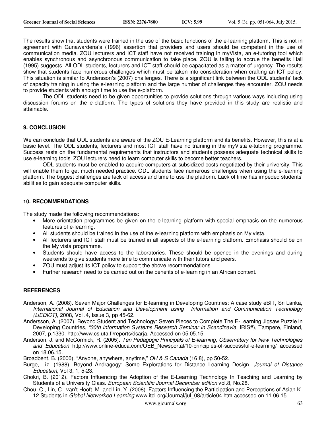The results show that students were trained in the use of the basic functions of the e-learning platform. This is not in agreement with Gunawardena's (1996) assertion that providers and users should be competent in the use of communication media. ZOU lecturers and ICT staff have not received training in myVista, an e-tutoring tool which enables synchronous and asynchronous communication to take place. ZOU is failing to accrue the benefits Hall (1995) suggests. All ODL students, lecturers and ICT staff should be capacitated as a matter of urgency. The results show that students face numerous challenges which must be taken into consideration when crafting an ICT policy. This situation is similar to Andersson's (2007) challenges. There is a significant link between the ODL students' lack of capacity training in using the e-learning platform and the large number of challenges they encounter. ZOU needs to provide students with enough time to use the e-platform.

The ODL students need to be given opportunities to provide solutions through various ways including using discussion forums on the e-platform. The types of solutions they have provided in this study are realistic and attainable.

#### **9. CONCLUSION**

We can conclude that ODL students are aware of the ZOU E-Learning platform and its benefits. However, this is at a basic level. The ODL students, lecturers and most ICT staff have no training in the myVista e-tutoring programme. Success rests on the fundamental requirements that instructors and students possess adequate technical skills to use e-learning tools. ZOU lecturers need to learn computer skills to become better teachers.

ODL students must be enabled to acquire computers at subsidized costs negotiated by their university. This will enable them to get much needed practice. ODL students face numerous challenges when using the e-learning platform. The biggest challenges are lack of access and time to use the platform. Lack of time has impeded students' abilities to gain adequate computer skills.

#### **10. RECOMMENDATIONS**

The study made the following recommendations:

- More orientation programmes be given on the e-learning platform with special emphasis on the numerous features of e-learning.
- All students should be trained in the use of the e-learning platform with emphasis on My vista.
- All lecturers and ICT staff must be trained in all aspects of the e-learning platform. Emphasis should be on the My vista programme.
- Students should have access to the laboratories. These should be opened in the evenings and during weekends to give students more time to communicate with their tutors and peers.
- ZOU must adjust its ICT policy to support the above recommendations.
- Further research need to be carried out on the benefits of e-learning in an African context.

# **REFERENCES**

- Anderson, A. (2008). Seven Major Challenges for E-learning in Developing Countries: A case study eBIT, Sri Lanka, *International Journal of Education and Development using Information and Communication Technology (IJEDICT)*, 2008, Vol .4, Issue 3, pp 45-62.
- Andersson, A. (2007). Beyond Student and Technology: Seven Pieces to Complete The E-Learning Jigsaw Puzzle in Developing Countries, *"30th Information Systems Research Seminar in Scandinavia,* IRIS#), Tampere, Finland, 2007, p.1330. http://www.cs.uta.fi/reports/dsarja. Accessed on 05.05.15.
- Anderson, J. and McCormick, R. (2005). *Ten Pedagogic Principals of E-learning, Observatory for New Technologies and Education* http://www.online-educa.com/OEB\_Newsportal/10-principles-of-successful-e-learning/ accessed on 18.06.15.

Broadbent, B. (2000). "Anyone, anywhere, anytime," *OH & S Canada* (16:8), pp 50-52.

- Burge, Liz. (1988). Beyond Andragogy: Some Explorations for Distance Learning Design. *Journal of Distance Education,* Vol 3, 1, 5-23.
- Chokri, B. (2012). Factors Influencing the Adoption of the E-Learning Technology In Teaching and Learning by Students of a University Class. *European Scientific Journal December edition* vol.8, No.28.
- Chou, C., Lin, C., van't Hooft, M. and Lin, Y. (2008). Factors Influencing the Participation and Perceptions of Asian K-12 Students in *Global Networked Learning* www.itdl.org/Journal/jul\_08/article04.htm accessed on 11.06.15.